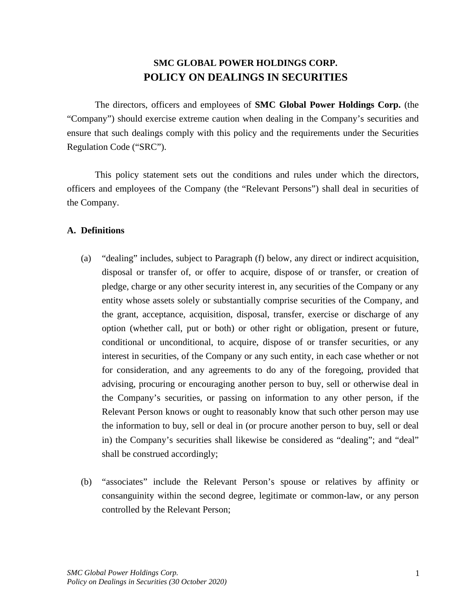# **SMC GLOBAL POWER HOLDINGS CORP. POLICY ON DEALINGS IN SECURITIES**

The directors, officers and employees of **SMC Global Power Holdings Corp.** (the "Company") should exercise extreme caution when dealing in the Company's securities and ensure that such dealings comply with this policy and the requirements under the Securities Regulation Code ("SRC").

This policy statement sets out the conditions and rules under which the directors, officers and employees of the Company (the "Relevant Persons") shall deal in securities of the Company.

### **A. Definitions**

- (a) "dealing" includes, subject to Paragraph (f) below, any direct or indirect acquisition, disposal or transfer of, or offer to acquire, dispose of or transfer, or creation of pledge, charge or any other security interest in, any securities of the Company or any entity whose assets solely or substantially comprise securities of the Company, and the grant, acceptance, acquisition, disposal, transfer, exercise or discharge of any option (whether call, put or both) or other right or obligation, present or future, conditional or unconditional, to acquire, dispose of or transfer securities, or any interest in securities, of the Company or any such entity, in each case whether or not for consideration, and any agreements to do any of the foregoing, provided that advising, procuring or encouraging another person to buy, sell or otherwise deal in the Company's securities, or passing on information to any other person, if the Relevant Person knows or ought to reasonably know that such other person may use the information to buy, sell or deal in (or procure another person to buy, sell or deal in) the Company's securities shall likewise be considered as "dealing"; and "deal" shall be construed accordingly;
- (b) "associates" include the Relevant Person's spouse or relatives by affinity or consanguinity within the second degree, legitimate or common-law, or any person controlled by the Relevant Person;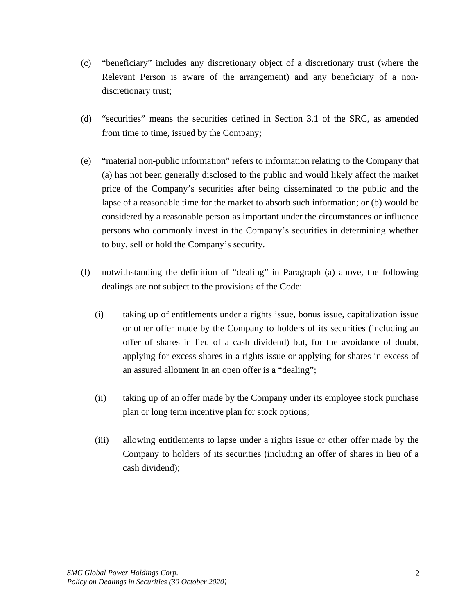- (c) "beneficiary" includes any discretionary object of a discretionary trust (where the Relevant Person is aware of the arrangement) and any beneficiary of a nondiscretionary trust;
- (d) "securities" means the securities defined in Section 3.1 of the SRC, as amended from time to time, issued by the Company;
- (e) "material non-public information" refers to information relating to the Company that (a) has not been generally disclosed to the public and would likely affect the market price of the Company's securities after being disseminated to the public and the lapse of a reasonable time for the market to absorb such information; or (b) would be considered by a reasonable person as important under the circumstances or influence persons who commonly invest in the Company's securities in determining whether to buy, sell or hold the Company's security.
- (f) notwithstanding the definition of "dealing" in Paragraph (a) above, the following dealings are not subject to the provisions of the Code:
	- (i) taking up of entitlements under a rights issue, bonus issue, capitalization issue or other offer made by the Company to holders of its securities (including an offer of shares in lieu of a cash dividend) but, for the avoidance of doubt, applying for excess shares in a rights issue or applying for shares in excess of an assured allotment in an open offer is a "dealing";
	- (ii) taking up of an offer made by the Company under its employee stock purchase plan or long term incentive plan for stock options;
	- (iii) allowing entitlements to lapse under a rights issue or other offer made by the Company to holders of its securities (including an offer of shares in lieu of a cash dividend);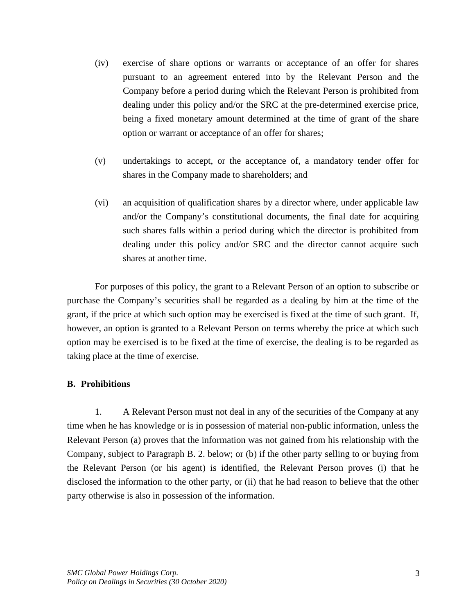- (iv) exercise of share options or warrants or acceptance of an offer for shares pursuant to an agreement entered into by the Relevant Person and the Company before a period during which the Relevant Person is prohibited from dealing under this policy and/or the SRC at the pre-determined exercise price, being a fixed monetary amount determined at the time of grant of the share option or warrant or acceptance of an offer for shares;
- (v) undertakings to accept, or the acceptance of, a mandatory tender offer for shares in the Company made to shareholders; and
- (vi) an acquisition of qualification shares by a director where, under applicable law and/or the Company's constitutional documents, the final date for acquiring such shares falls within a period during which the director is prohibited from dealing under this policy and/or SRC and the director cannot acquire such shares at another time.

For purposes of this policy, the grant to a Relevant Person of an option to subscribe or purchase the Company's securities shall be regarded as a dealing by him at the time of the grant, if the price at which such option may be exercised is fixed at the time of such grant. If, however, an option is granted to a Relevant Person on terms whereby the price at which such option may be exercised is to be fixed at the time of exercise, the dealing is to be regarded as taking place at the time of exercise.

### **B. Prohibitions**

1. A Relevant Person must not deal in any of the securities of the Company at any time when he has knowledge or is in possession of material non-public information, unless the Relevant Person (a) proves that the information was not gained from his relationship with the Company, subject to Paragraph B. 2. below; or (b) if the other party selling to or buying from the Relevant Person (or his agent) is identified, the Relevant Person proves (i) that he disclosed the information to the other party, or (ii) that he had reason to believe that the other party otherwise is also in possession of the information.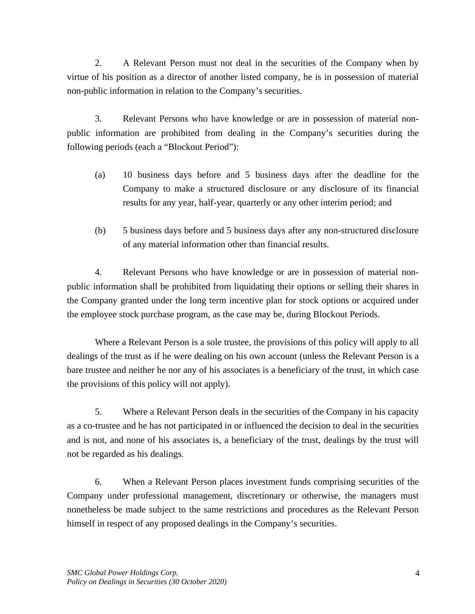2. A Relevant Person must not deal in the securities of the Company when by virtue of his position as a director of another listed company, he is in possession of material non-public information in relation to the Company's securities.

3. Relevant Persons who have knowledge or are in possession of material nonpublic information are prohibited from dealing in the Company's securities during the following periods (each a "Blockout Period"):

- (a) 10 business days before and 5 business days after the deadline for the Company to make a structured disclosure or any disclosure of its financial results for any year, half-year, quarterly or any other interim period; and
- (b) 5 business days before and 5 business days after any non-structured disclosure of any material information other than financial results.

4. Relevant Persons who have knowledge or are in possession of material nonpublic information shall be prohibited from liquidating their options or selling their shares in the Company granted under the long term incentive plan for stock options or acquired under the employee stock purchase program, as the case may be, during Blockout Periods.

Where a Relevant Person is a sole trustee, the provisions of this policy will apply to all dealings of the trust as if he were dealing on his own account (unless the Relevant Person is a bare trustee and neither he nor any of his associates is a beneficiary of the trust, in which case the provisions of this policy will not apply).

5. Where a Relevant Person deals in the securities of the Company in his capacity as a co-trustee and he has not participated in or influenced the decision to deal in the securities and is not, and none of his associates is, a beneficiary of the trust, dealings by the trust will not be regarded as his dealings.

6. When a Relevant Person places investment funds comprising securities of the Company under professional management, discretionary or otherwise, the managers must nonetheless be made subject to the same restrictions and procedures as the Relevant Person himself in respect of any proposed dealings in the Company's securities.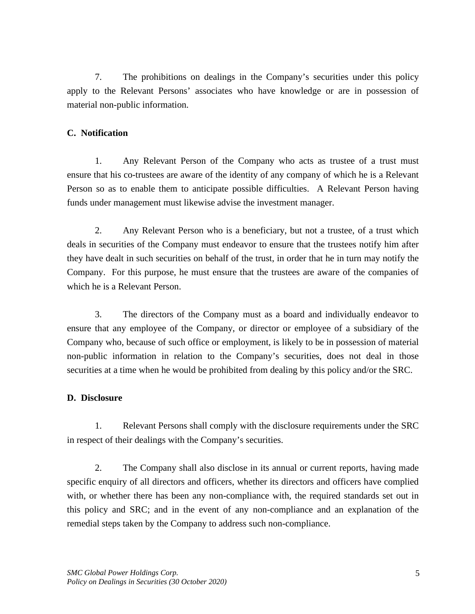7. The prohibitions on dealings in the Company's securities under this policy apply to the Relevant Persons' associates who have knowledge or are in possession of material non-public information.

# **C. Notification**

1. Any Relevant Person of the Company who acts as trustee of a trust must ensure that his co-trustees are aware of the identity of any company of which he is a Relevant Person so as to enable them to anticipate possible difficulties. A Relevant Person having funds under management must likewise advise the investment manager.

2. Any Relevant Person who is a beneficiary, but not a trustee, of a trust which deals in securities of the Company must endeavor to ensure that the trustees notify him after they have dealt in such securities on behalf of the trust, in order that he in turn may notify the Company. For this purpose, he must ensure that the trustees are aware of the companies of which he is a Relevant Person.

3. The directors of the Company must as a board and individually endeavor to ensure that any employee of the Company, or director or employee of a subsidiary of the Company who, because of such office or employment, is likely to be in possession of material non-public information in relation to the Company's securities, does not deal in those securities at a time when he would be prohibited from dealing by this policy and/or the SRC.

## **D. Disclosure**

1. Relevant Persons shall comply with the disclosure requirements under the SRC in respect of their dealings with the Company's securities.

2. The Company shall also disclose in its annual or current reports, having made specific enquiry of all directors and officers, whether its directors and officers have complied with, or whether there has been any non-compliance with, the required standards set out in this policy and SRC; and in the event of any non-compliance and an explanation of the remedial steps taken by the Company to address such non-compliance.